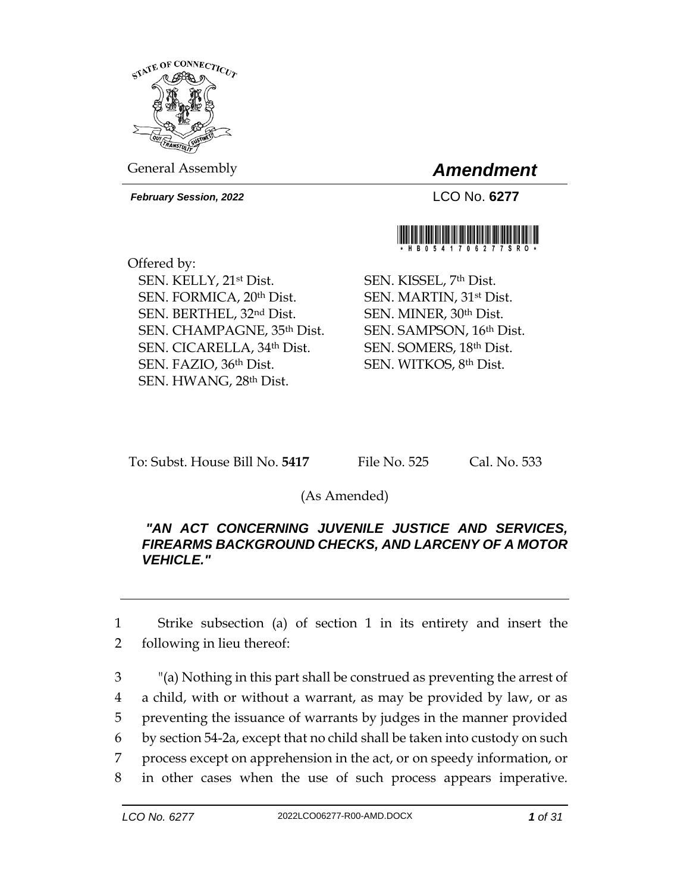

General Assembly *Amendment*

*February Session, 2022* LCO No. **6277**



Offered by: SEN. KELLY, 21st Dist. SEN. FORMICA, 20th Dist. SEN. BERTHEL, 32nd Dist. SEN. CHAMPAGNE, 35th Dist. SEN. CICARELLA, 34th Dist. SEN. FAZIO, 36th Dist. SEN. HWANG, 28th Dist.

SEN. KISSEL, 7th Dist. SEN. MARTIN, 31st Dist. SEN. MINER, 30th Dist. SEN. SAMPSON, 16th Dist. SEN. SOMERS, 18th Dist. SEN. WITKOS, 8th Dist.

To: Subst. House Bill No. **5417** File No. 525 Cal. No. 533

(As Amended)

## *"AN ACT CONCERNING JUVENILE JUSTICE AND SERVICES, FIREARMS BACKGROUND CHECKS, AND LARCENY OF A MOTOR VEHICLE."*

1 Strike subsection (a) of section 1 in its entirety and insert the 2 following in lieu thereof:

 "(a) Nothing in this part shall be construed as preventing the arrest of a child, with or without a warrant, as may be provided by law, or as preventing the issuance of warrants by judges in the manner provided by section 54-2a, except that no child shall be taken into custody on such process except on apprehension in the act, or on speedy information, or in other cases when the use of such process appears imperative.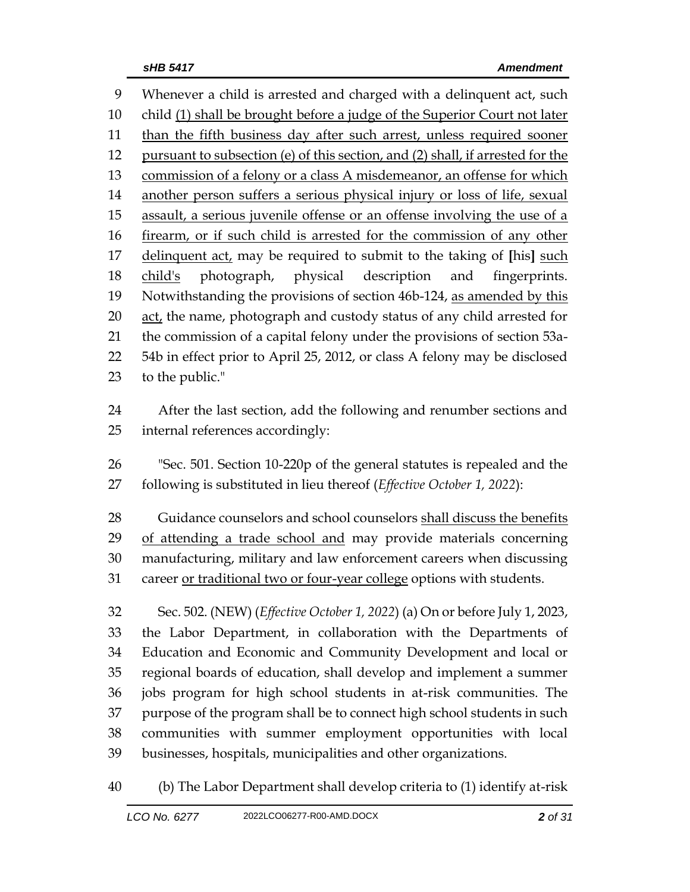Whenever a child is arrested and charged with a delinquent act, such child (1) shall be brought before a judge of the Superior Court not later 11 than the fifth business day after such arrest, unless required sooner pursuant to subsection (e) of this section, and (2) shall, if arrested for the commission of a felony or a class A misdemeanor, an offense for which another person suffers a serious physical injury or loss of life, sexual assault, a serious juvenile offense or an offense involving the use of a firearm, or if such child is arrested for the commission of any other delinquent act, may be required to submit to the taking of **[**his**]** such child's photograph, physical description and fingerprints. Notwithstanding the provisions of section 46b-124, as amended by this act, the name, photograph and custody status of any child arrested for the commission of a capital felony under the provisions of section 53a- 54b in effect prior to April 25, 2012, or class A felony may be disclosed to the public." After the last section, add the following and renumber sections and internal references accordingly: "Sec. 501. Section 10-220p of the general statutes is repealed and the following is substituted in lieu thereof (*Effective October 1, 2022*): 28 Guidance counselors and school counselors shall discuss the benefits 29 of attending a trade school and may provide materials concerning manufacturing, military and law enforcement careers when discussing

career or traditional two or four-year college options with students.

 Sec. 502. (NEW) (*Effective October 1, 2022*) (a) On or before July 1, 2023, the Labor Department, in collaboration with the Departments of Education and Economic and Community Development and local or regional boards of education, shall develop and implement a summer jobs program for high school students in at-risk communities. The purpose of the program shall be to connect high school students in such communities with summer employment opportunities with local businesses, hospitals, municipalities and other organizations.

(b) The Labor Department shall develop criteria to (1) identify at-risk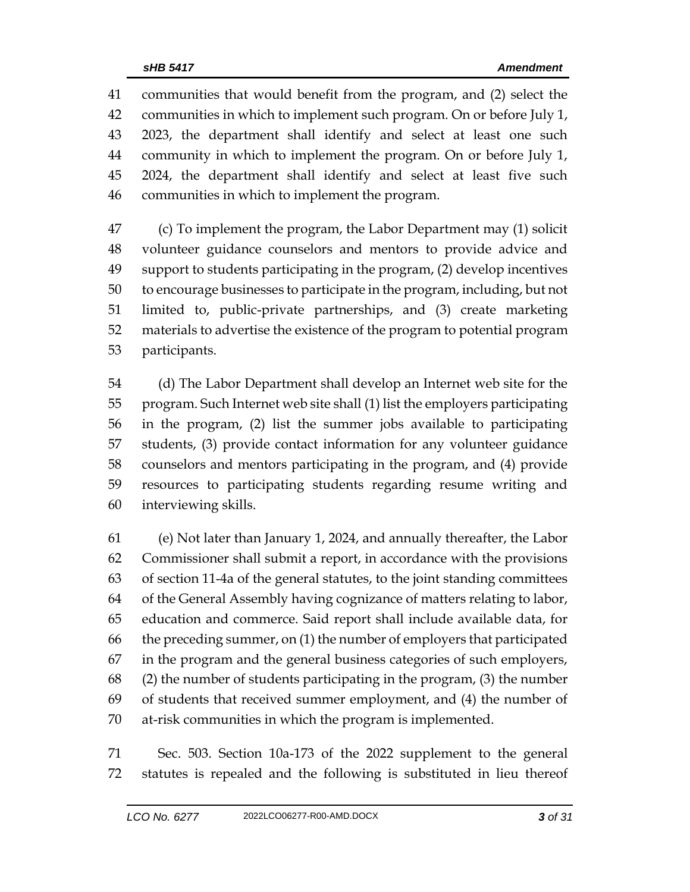communities that would benefit from the program, and (2) select the communities in which to implement such program. On or before July 1, 2023, the department shall identify and select at least one such community in which to implement the program. On or before July 1, 2024, the department shall identify and select at least five such communities in which to implement the program.

 (c) To implement the program, the Labor Department may (1) solicit volunteer guidance counselors and mentors to provide advice and support to students participating in the program, (2) develop incentives to encourage businesses to participate in the program, including, but not limited to, public-private partnerships, and (3) create marketing materials to advertise the existence of the program to potential program participants.

 (d) The Labor Department shall develop an Internet web site for the program. Such Internet web site shall (1) list the employers participating in the program, (2) list the summer jobs available to participating students, (3) provide contact information for any volunteer guidance counselors and mentors participating in the program, and (4) provide resources to participating students regarding resume writing and interviewing skills.

 (e) Not later than January 1, 2024, and annually thereafter, the Labor Commissioner shall submit a report, in accordance with the provisions of section 11-4a of the general statutes, to the joint standing committees of the General Assembly having cognizance of matters relating to labor, education and commerce. Said report shall include available data, for the preceding summer, on (1) the number of employers that participated in the program and the general business categories of such employers, (2) the number of students participating in the program, (3) the number of students that received summer employment, and (4) the number of at-risk communities in which the program is implemented.

 Sec. 503. Section 10a-173 of the 2022 supplement to the general statutes is repealed and the following is substituted in lieu thereof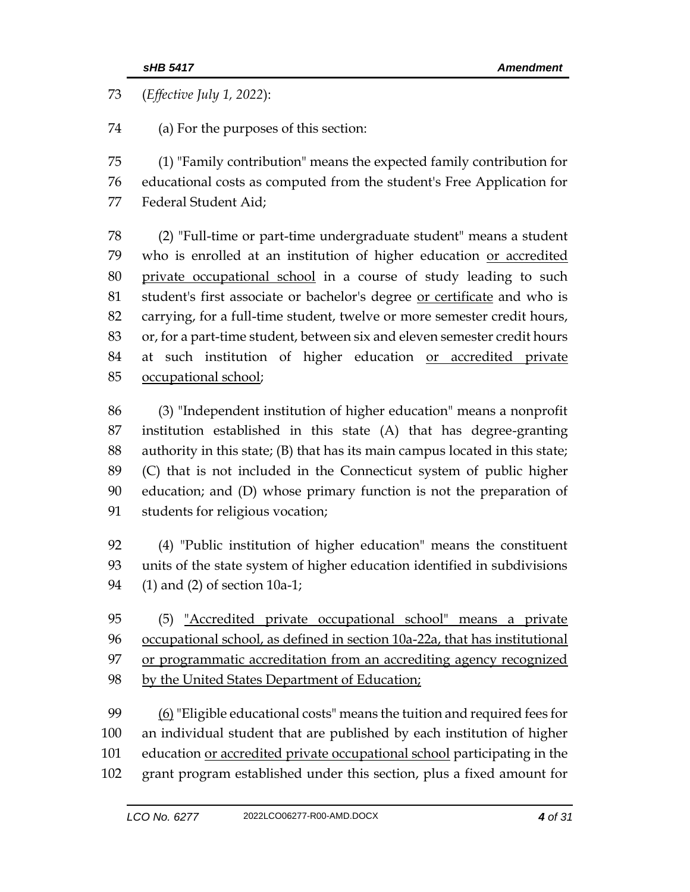(*Effective July 1, 2022*):

(a) For the purposes of this section:

 (1) "Family contribution" means the expected family contribution for educational costs as computed from the student's Free Application for Federal Student Aid;

 (2) "Full-time or part-time undergraduate student" means a student who is enrolled at an institution of higher education or accredited private occupational school in a course of study leading to such 81 student's first associate or bachelor's degree or certificate and who is carrying, for a full-time student, twelve or more semester credit hours, or, for a part-time student, between six and eleven semester credit hours 84 at such institution of higher education or accredited private occupational school;

 (3) "Independent institution of higher education" means a nonprofit institution established in this state (A) that has degree-granting authority in this state; (B) that has its main campus located in this state; (C) that is not included in the Connecticut system of public higher education; and (D) whose primary function is not the preparation of students for religious vocation;

 (4) "Public institution of higher education" means the constituent units of the state system of higher education identified in subdivisions (1) and (2) of section 10a-1;

 (5) "Accredited private occupational school" means a private occupational school, as defined in section 10a-22a, that has institutional 97 or programmatic accreditation from an accrediting agency recognized by the United States Department of Education;

 (6) "Eligible educational costs" means the tuition and required fees for an individual student that are published by each institution of higher 101 education or accredited private occupational school participating in the grant program established under this section, plus a fixed amount for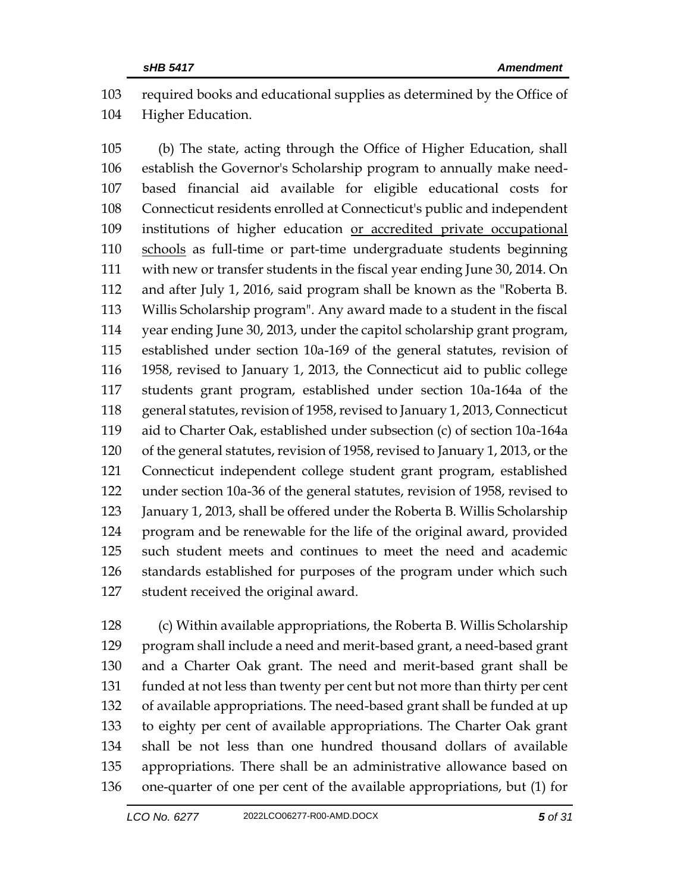required books and educational supplies as determined by the Office of Higher Education.

 (b) The state, acting through the Office of Higher Education, shall establish the Governor's Scholarship program to annually make need- based financial aid available for eligible educational costs for Connecticut residents enrolled at Connecticut's public and independent institutions of higher education or accredited private occupational schools as full-time or part-time undergraduate students beginning with new or transfer students in the fiscal year ending June 30, 2014. On and after July 1, 2016, said program shall be known as the "Roberta B. Willis Scholarship program". Any award made to a student in the fiscal year ending June 30, 2013, under the capitol scholarship grant program, established under section 10a-169 of the general statutes, revision of 1958, revised to January 1, 2013, the Connecticut aid to public college students grant program, established under section 10a-164a of the general statutes, revision of 1958, revised to January 1, 2013, Connecticut aid to Charter Oak, established under subsection (c) of section 10a-164a of the general statutes, revision of 1958, revised to January 1, 2013, or the Connecticut independent college student grant program, established under section 10a-36 of the general statutes, revision of 1958, revised to January 1, 2013, shall be offered under the Roberta B. Willis Scholarship program and be renewable for the life of the original award, provided such student meets and continues to meet the need and academic standards established for purposes of the program under which such student received the original award.

 (c) Within available appropriations, the Roberta B. Willis Scholarship program shall include a need and merit-based grant, a need-based grant and a Charter Oak grant. The need and merit-based grant shall be funded at not less than twenty per cent but not more than thirty per cent of available appropriations. The need-based grant shall be funded at up to eighty per cent of available appropriations. The Charter Oak grant shall be not less than one hundred thousand dollars of available appropriations. There shall be an administrative allowance based on one-quarter of one per cent of the available appropriations, but (1) for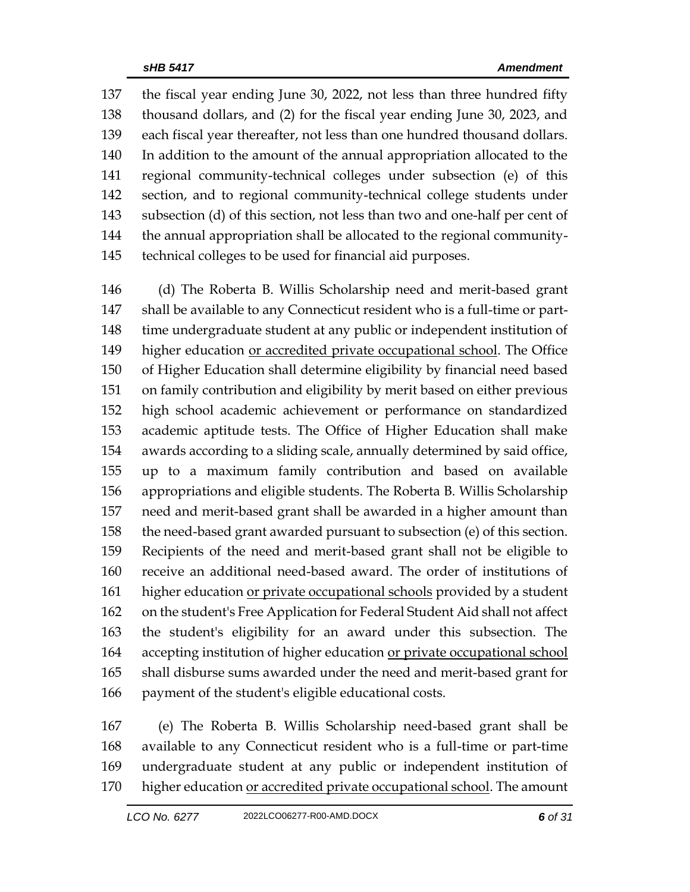the fiscal year ending June 30, 2022, not less than three hundred fifty thousand dollars, and (2) for the fiscal year ending June 30, 2023, and each fiscal year thereafter, not less than one hundred thousand dollars. In addition to the amount of the annual appropriation allocated to the regional community-technical colleges under subsection (e) of this section, and to regional community-technical college students under subsection (d) of this section, not less than two and one-half per cent of the annual appropriation shall be allocated to the regional community-technical colleges to be used for financial aid purposes.

 (d) The Roberta B. Willis Scholarship need and merit-based grant shall be available to any Connecticut resident who is a full-time or part- time undergraduate student at any public or independent institution of 149 higher education <u>or accredited private occupational school</u>. The Office of Higher Education shall determine eligibility by financial need based on family contribution and eligibility by merit based on either previous high school academic achievement or performance on standardized academic aptitude tests. The Office of Higher Education shall make awards according to a sliding scale, annually determined by said office, up to a maximum family contribution and based on available appropriations and eligible students. The Roberta B. Willis Scholarship need and merit-based grant shall be awarded in a higher amount than the need-based grant awarded pursuant to subsection (e) of this section. Recipients of the need and merit-based grant shall not be eligible to receive an additional need-based award. The order of institutions of higher education or private occupational schools provided by a student on the student's Free Application for Federal Student Aid shall not affect the student's eligibility for an award under this subsection. The 164 accepting institution of higher education or private occupational school shall disburse sums awarded under the need and merit-based grant for payment of the student's eligible educational costs.

 (e) The Roberta B. Willis Scholarship need-based grant shall be available to any Connecticut resident who is a full-time or part-time undergraduate student at any public or independent institution of 170 higher education or accredited private occupational school. The amount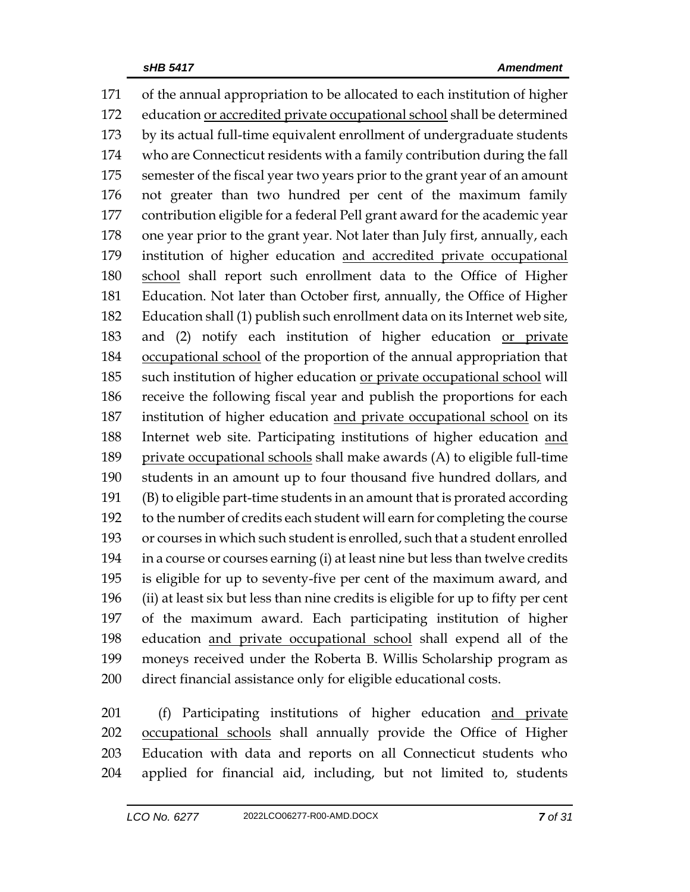of the annual appropriation to be allocated to each institution of higher education or accredited private occupational school shall be determined by its actual full-time equivalent enrollment of undergraduate students who are Connecticut residents with a family contribution during the fall semester of the fiscal year two years prior to the grant year of an amount not greater than two hundred per cent of the maximum family contribution eligible for a federal Pell grant award for the academic year one year prior to the grant year. Not later than July first, annually, each institution of higher education and accredited private occupational school shall report such enrollment data to the Office of Higher Education. Not later than October first, annually, the Office of Higher Education shall (1) publish such enrollment data on its Internet web site, 183 and (2) notify each institution of higher education or private occupational school of the proportion of the annual appropriation that such institution of higher education or private occupational school will receive the following fiscal year and publish the proportions for each institution of higher education and private occupational school on its Internet web site. Participating institutions of higher education and private occupational schools shall make awards (A) to eligible full-time students in an amount up to four thousand five hundred dollars, and (B) to eligible part-time students in an amount that is prorated according to the number of credits each student will earn for completing the course or courses in which such student is enrolled, such that a student enrolled in a course or courses earning (i) at least nine but less than twelve credits is eligible for up to seventy-five per cent of the maximum award, and (ii) at least six but less than nine credits is eligible for up to fifty per cent of the maximum award. Each participating institution of higher education and private occupational school shall expend all of the moneys received under the Roberta B. Willis Scholarship program as direct financial assistance only for eligible educational costs.

 (f) Participating institutions of higher education and private occupational schools shall annually provide the Office of Higher Education with data and reports on all Connecticut students who applied for financial aid, including, but not limited to, students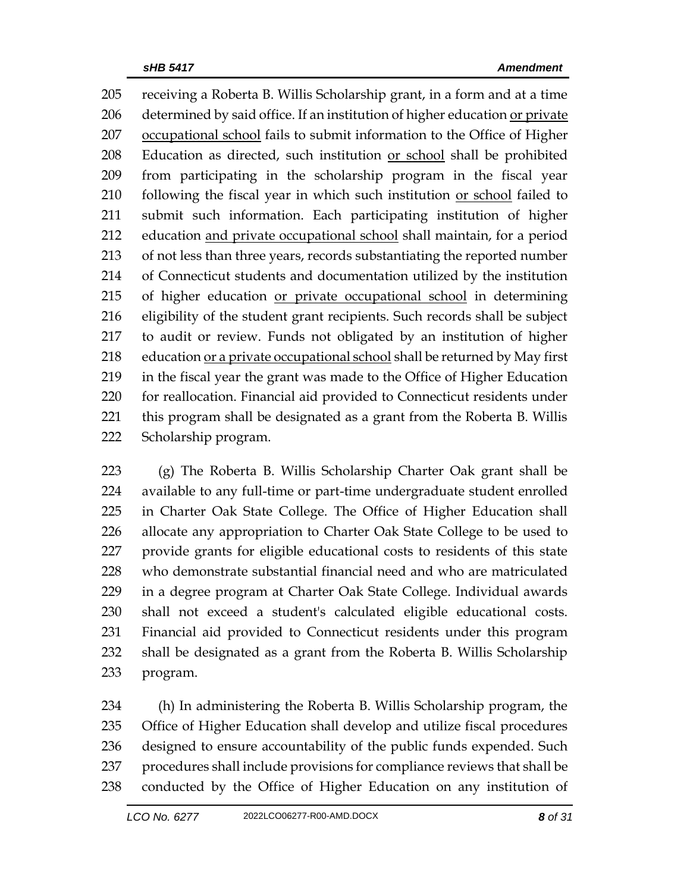receiving a Roberta B. Willis Scholarship grant, in a form and at a time determined by said office. If an institution of higher education or private occupational school fails to submit information to the Office of Higher Education as directed, such institution or school shall be prohibited from participating in the scholarship program in the fiscal year 210 following the fiscal year in which such institution <u>or school</u> failed to submit such information. Each participating institution of higher education and private occupational school shall maintain, for a period of not less than three years, records substantiating the reported number of Connecticut students and documentation utilized by the institution 215 of higher education or private occupational school in determining eligibility of the student grant recipients. Such records shall be subject to audit or review. Funds not obligated by an institution of higher 218 education or a private occupational school shall be returned by May first in the fiscal year the grant was made to the Office of Higher Education for reallocation. Financial aid provided to Connecticut residents under this program shall be designated as a grant from the Roberta B. Willis Scholarship program.

 (g) The Roberta B. Willis Scholarship Charter Oak grant shall be available to any full-time or part-time undergraduate student enrolled in Charter Oak State College. The Office of Higher Education shall allocate any appropriation to Charter Oak State College to be used to provide grants for eligible educational costs to residents of this state who demonstrate substantial financial need and who are matriculated in a degree program at Charter Oak State College. Individual awards shall not exceed a student's calculated eligible educational costs. Financial aid provided to Connecticut residents under this program shall be designated as a grant from the Roberta B. Willis Scholarship program.

 (h) In administering the Roberta B. Willis Scholarship program, the Office of Higher Education shall develop and utilize fiscal procedures designed to ensure accountability of the public funds expended. Such procedures shall include provisions for compliance reviews that shall be conducted by the Office of Higher Education on any institution of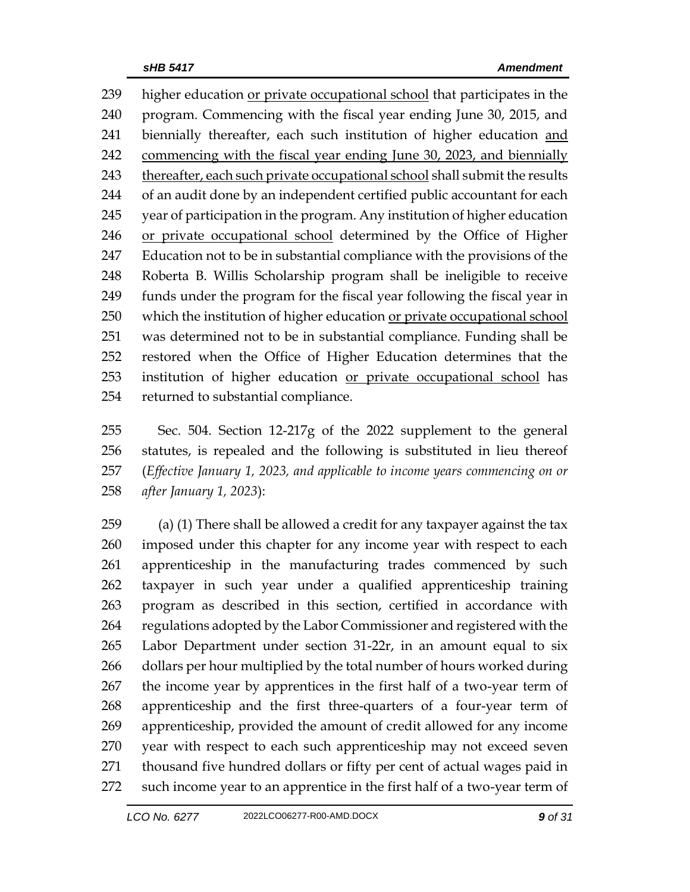higher education or private occupational school that participates in the program. Commencing with the fiscal year ending June 30, 2015, and biennially thereafter, each such institution of higher education and commencing with the fiscal year ending June 30, 2023, and biennially 243 thereafter, each such private occupational school shall submit the results of an audit done by an independent certified public accountant for each year of participation in the program. Any institution of higher education or private occupational school determined by the Office of Higher Education not to be in substantial compliance with the provisions of the Roberta B. Willis Scholarship program shall be ineligible to receive funds under the program for the fiscal year following the fiscal year in which the institution of higher education or private occupational school was determined not to be in substantial compliance. Funding shall be restored when the Office of Higher Education determines that the 253 institution of higher education or private occupational school has returned to substantial compliance.

 Sec. 504. Section 12-217g of the 2022 supplement to the general statutes, is repealed and the following is substituted in lieu thereof (*Effective January 1, 2023, and applicable to income years commencing on or after January 1, 2023*):

 (a) (1) There shall be allowed a credit for any taxpayer against the tax imposed under this chapter for any income year with respect to each apprenticeship in the manufacturing trades commenced by such taxpayer in such year under a qualified apprenticeship training program as described in this section, certified in accordance with regulations adopted by the Labor Commissioner and registered with the Labor Department under section 31-22r, in an amount equal to six dollars per hour multiplied by the total number of hours worked during the income year by apprentices in the first half of a two-year term of apprenticeship and the first three-quarters of a four-year term of apprenticeship, provided the amount of credit allowed for any income year with respect to each such apprenticeship may not exceed seven thousand five hundred dollars or fifty per cent of actual wages paid in such income year to an apprentice in the first half of a two-year term of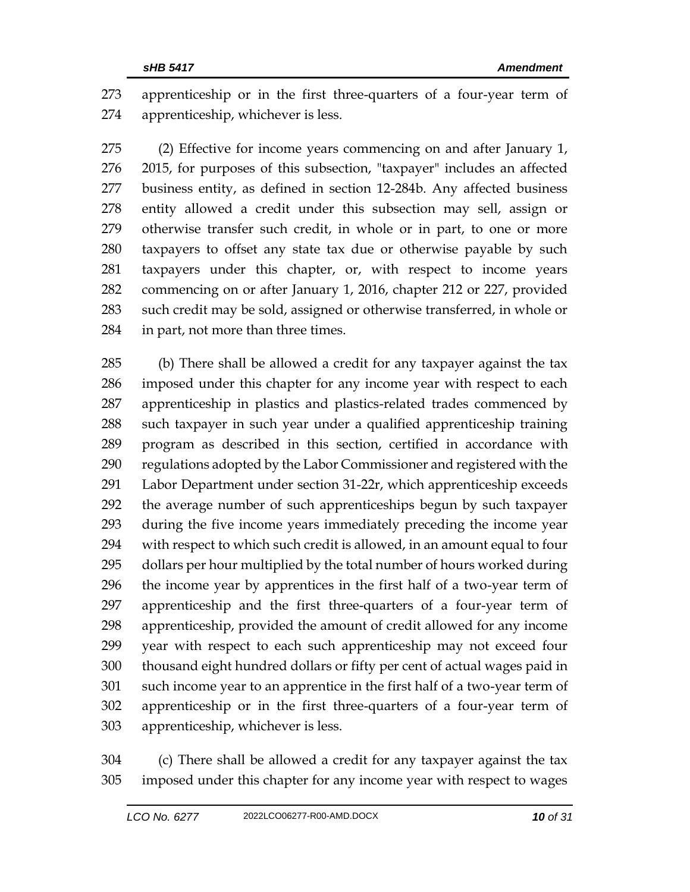apprenticeship or in the first three-quarters of a four-year term of apprenticeship, whichever is less.

 (2) Effective for income years commencing on and after January 1, 2015, for purposes of this subsection, "taxpayer" includes an affected business entity, as defined in section 12-284b. Any affected business entity allowed a credit under this subsection may sell, assign or otherwise transfer such credit, in whole or in part, to one or more taxpayers to offset any state tax due or otherwise payable by such taxpayers under this chapter, or, with respect to income years commencing on or after January 1, 2016, chapter 212 or 227, provided such credit may be sold, assigned or otherwise transferred, in whole or in part, not more than three times.

 (b) There shall be allowed a credit for any taxpayer against the tax imposed under this chapter for any income year with respect to each apprenticeship in plastics and plastics-related trades commenced by such taxpayer in such year under a qualified apprenticeship training program as described in this section, certified in accordance with regulations adopted by the Labor Commissioner and registered with the Labor Department under section 31-22r, which apprenticeship exceeds the average number of such apprenticeships begun by such taxpayer during the five income years immediately preceding the income year with respect to which such credit is allowed, in an amount equal to four dollars per hour multiplied by the total number of hours worked during the income year by apprentices in the first half of a two-year term of apprenticeship and the first three-quarters of a four-year term of apprenticeship, provided the amount of credit allowed for any income year with respect to each such apprenticeship may not exceed four thousand eight hundred dollars or fifty per cent of actual wages paid in such income year to an apprentice in the first half of a two-year term of apprenticeship or in the first three-quarters of a four-year term of apprenticeship, whichever is less.

 (c) There shall be allowed a credit for any taxpayer against the tax imposed under this chapter for any income year with respect to wages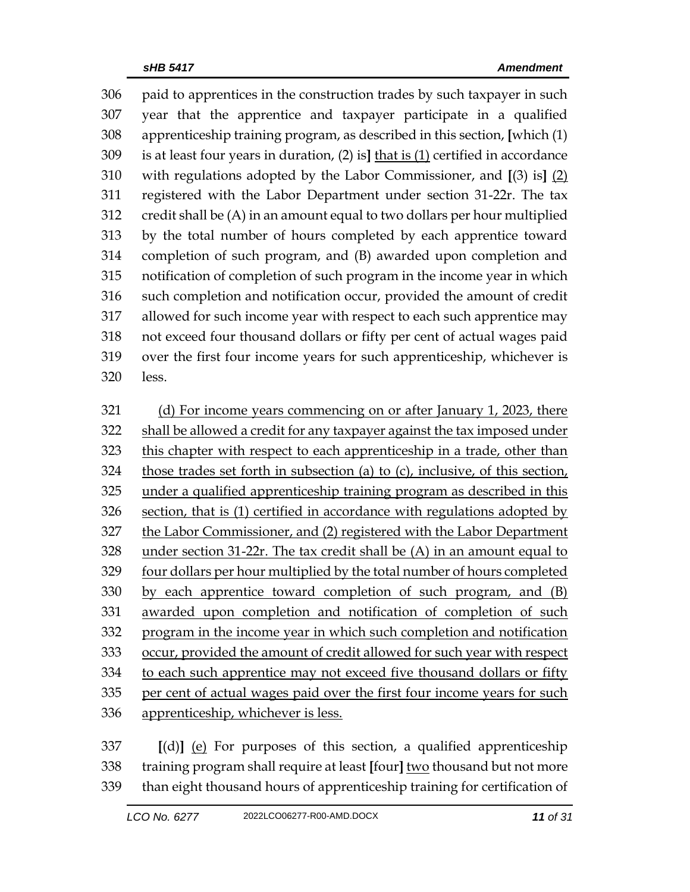paid to apprentices in the construction trades by such taxpayer in such year that the apprentice and taxpayer participate in a qualified apprenticeship training program, as described in this section, **[**which (1) is at least four years in duration, (2) is**]** that is (1) certified in accordance with regulations adopted by the Labor Commissioner, and **[**(3) is**]** (2) registered with the Labor Department under section 31-22r. The tax credit shall be (A) in an amount equal to two dollars per hour multiplied by the total number of hours completed by each apprentice toward completion of such program, and (B) awarded upon completion and notification of completion of such program in the income year in which such completion and notification occur, provided the amount of credit allowed for such income year with respect to each such apprentice may not exceed four thousand dollars or fifty per cent of actual wages paid over the first four income years for such apprenticeship, whichever is less.

 (d) For income years commencing on or after January 1, 2023, there shall be allowed a credit for any taxpayer against the tax imposed under this chapter with respect to each apprenticeship in a trade, other than those trades set forth in subsection (a) to (c), inclusive, of this section, under a qualified apprenticeship training program as described in this section, that is (1) certified in accordance with regulations adopted by the Labor Commissioner, and (2) registered with the Labor Department under section 31-22r. The tax credit shall be (A) in an amount equal to four dollars per hour multiplied by the total number of hours completed by each apprentice toward completion of such program, and (B) awarded upon completion and notification of completion of such program in the income year in which such completion and notification occur, provided the amount of credit allowed for such year with respect to each such apprentice may not exceed five thousand dollars or fifty per cent of actual wages paid over the first four income years for such apprenticeship, whichever is less.

 **[**(d)**]** (e) For purposes of this section, a qualified apprenticeship training program shall require at least **[**four**]** two thousand but not more than eight thousand hours of apprenticeship training for certification of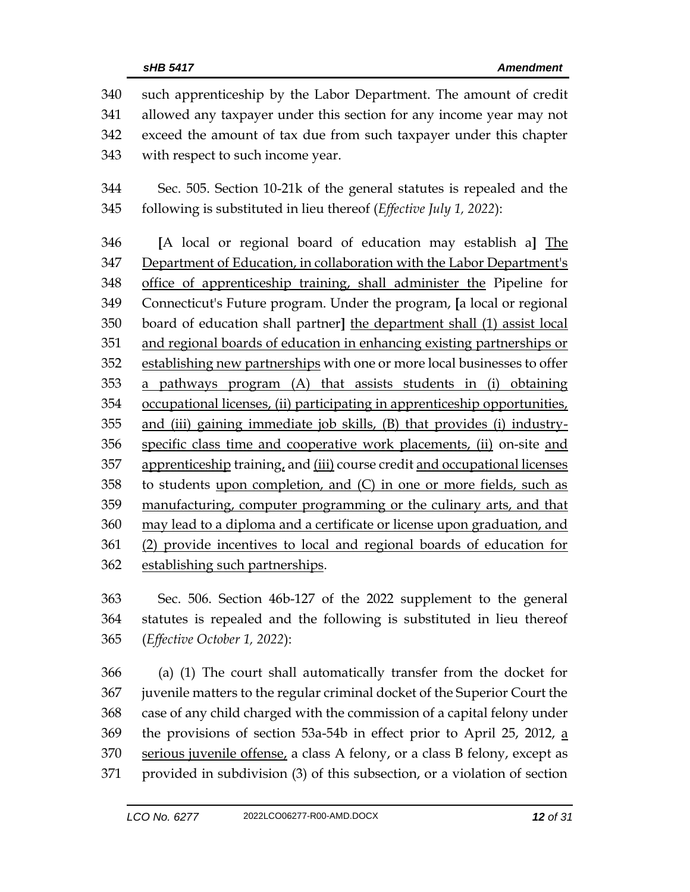such apprenticeship by the Labor Department. The amount of credit allowed any taxpayer under this section for any income year may not exceed the amount of tax due from such taxpayer under this chapter with respect to such income year. Sec. 505. Section 10-21k of the general statutes is repealed and the following is substituted in lieu thereof (*Effective July 1, 2022*): **[**A local or regional board of education may establish a**]** The Department of Education, in collaboration with the Labor Department's office of apprenticeship training, shall administer the Pipeline for Connecticut's Future program. Under the program, **[**a local or regional board of education shall partner**]** the department shall (1) assist local and regional boards of education in enhancing existing partnerships or 352 establishing new partnerships with one or more local businesses to offer a pathways program (A) that assists students in (i) obtaining occupational licenses, (ii) participating in apprenticeship opportunities, and (iii) gaining immediate job skills, (B) that provides (i) industry- specific class time and cooperative work placements, (ii) on-site and apprenticeship training, and (iii) course credit and occupational licenses to students upon completion, and (C) in one or more fields, such as manufacturing, computer programming or the culinary arts, and that may lead to a diploma and a certificate or license upon graduation, and (2) provide incentives to local and regional boards of education for establishing such partnerships.

 Sec. 506. Section 46b-127 of the 2022 supplement to the general statutes is repealed and the following is substituted in lieu thereof (*Effective October 1, 2022*):

 (a) (1) The court shall automatically transfer from the docket for juvenile matters to the regular criminal docket of the Superior Court the case of any child charged with the commission of a capital felony under the provisions of section 53a-54b in effect prior to April 25, 2012, a 370 serious juvenile offense, a class A felony, or a class B felony, except as provided in subdivision (3) of this subsection, or a violation of section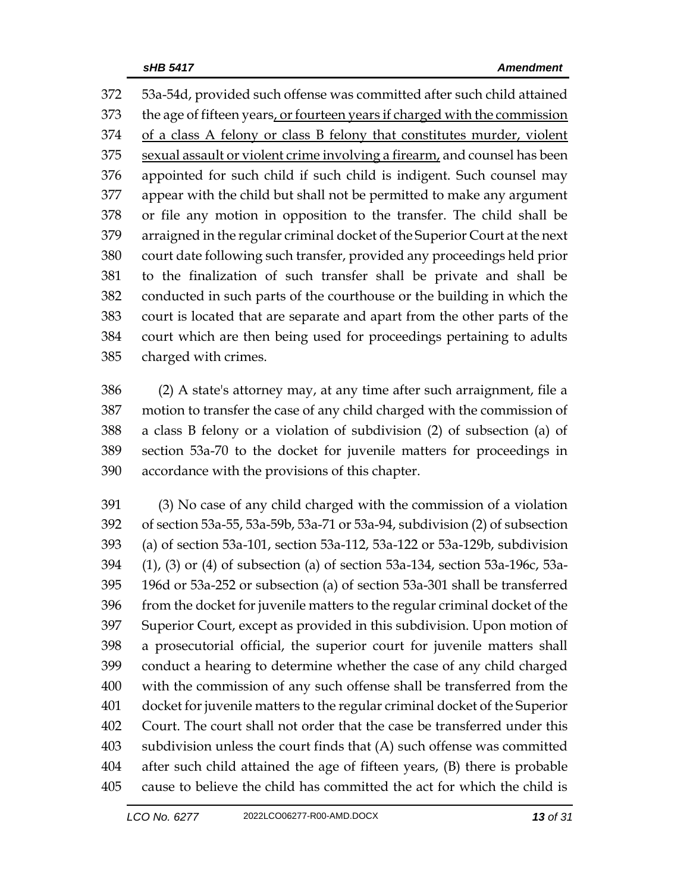53a-54d, provided such offense was committed after such child attained the age of fifteen years, or fourteen years if charged with the commission of a class A felony or class B felony that constitutes murder, violent sexual assault or violent crime involving a firearm, and counsel has been appointed for such child if such child is indigent. Such counsel may appear with the child but shall not be permitted to make any argument or file any motion in opposition to the transfer. The child shall be arraigned in the regular criminal docket of the Superior Court at the next court date following such transfer, provided any proceedings held prior to the finalization of such transfer shall be private and shall be conducted in such parts of the courthouse or the building in which the court is located that are separate and apart from the other parts of the court which are then being used for proceedings pertaining to adults charged with crimes.

 (2) A state's attorney may, at any time after such arraignment, file a motion to transfer the case of any child charged with the commission of a class B felony or a violation of subdivision (2) of subsection (a) of section 53a-70 to the docket for juvenile matters for proceedings in accordance with the provisions of this chapter.

 (3) No case of any child charged with the commission of a violation of section 53a-55, 53a-59b, 53a-71 or 53a-94, subdivision (2) of subsection (a) of section 53a-101, section 53a-112, 53a-122 or 53a-129b, subdivision (1), (3) or (4) of subsection (a) of section 53a-134, section 53a-196c, 53a- 196d or 53a-252 or subsection (a) of section 53a-301 shall be transferred from the docket for juvenile matters to the regular criminal docket of the Superior Court, except as provided in this subdivision. Upon motion of a prosecutorial official, the superior court for juvenile matters shall conduct a hearing to determine whether the case of any child charged with the commission of any such offense shall be transferred from the docket for juvenile matters to the regular criminal docket of the Superior Court. The court shall not order that the case be transferred under this subdivision unless the court finds that (A) such offense was committed after such child attained the age of fifteen years, (B) there is probable cause to believe the child has committed the act for which the child is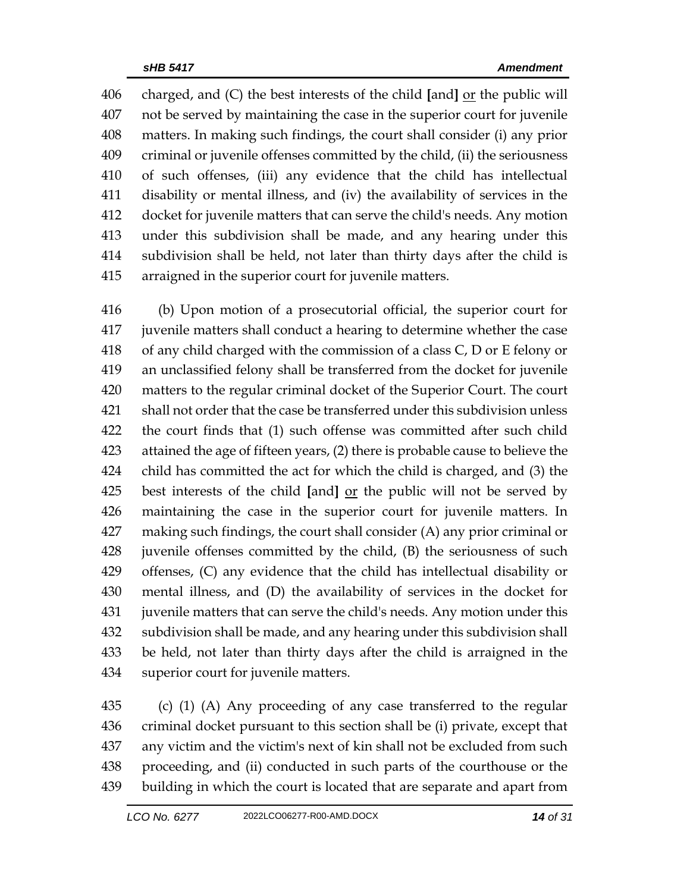charged, and (C) the best interests of the child **[**and**]** or the public will not be served by maintaining the case in the superior court for juvenile matters. In making such findings, the court shall consider (i) any prior criminal or juvenile offenses committed by the child, (ii) the seriousness of such offenses, (iii) any evidence that the child has intellectual disability or mental illness, and (iv) the availability of services in the docket for juvenile matters that can serve the child's needs. Any motion under this subdivision shall be made, and any hearing under this subdivision shall be held, not later than thirty days after the child is arraigned in the superior court for juvenile matters.

 (b) Upon motion of a prosecutorial official, the superior court for juvenile matters shall conduct a hearing to determine whether the case of any child charged with the commission of a class C, D or E felony or an unclassified felony shall be transferred from the docket for juvenile matters to the regular criminal docket of the Superior Court. The court shall not order that the case be transferred under this subdivision unless the court finds that (1) such offense was committed after such child attained the age of fifteen years, (2) there is probable cause to believe the child has committed the act for which the child is charged, and (3) the best interests of the child **[**and**]** or the public will not be served by maintaining the case in the superior court for juvenile matters. In making such findings, the court shall consider (A) any prior criminal or juvenile offenses committed by the child, (B) the seriousness of such offenses, (C) any evidence that the child has intellectual disability or mental illness, and (D) the availability of services in the docket for juvenile matters that can serve the child's needs. Any motion under this subdivision shall be made, and any hearing under this subdivision shall be held, not later than thirty days after the child is arraigned in the superior court for juvenile matters.

 (c) (1) (A) Any proceeding of any case transferred to the regular criminal docket pursuant to this section shall be (i) private, except that any victim and the victim's next of kin shall not be excluded from such proceeding, and (ii) conducted in such parts of the courthouse or the building in which the court is located that are separate and apart from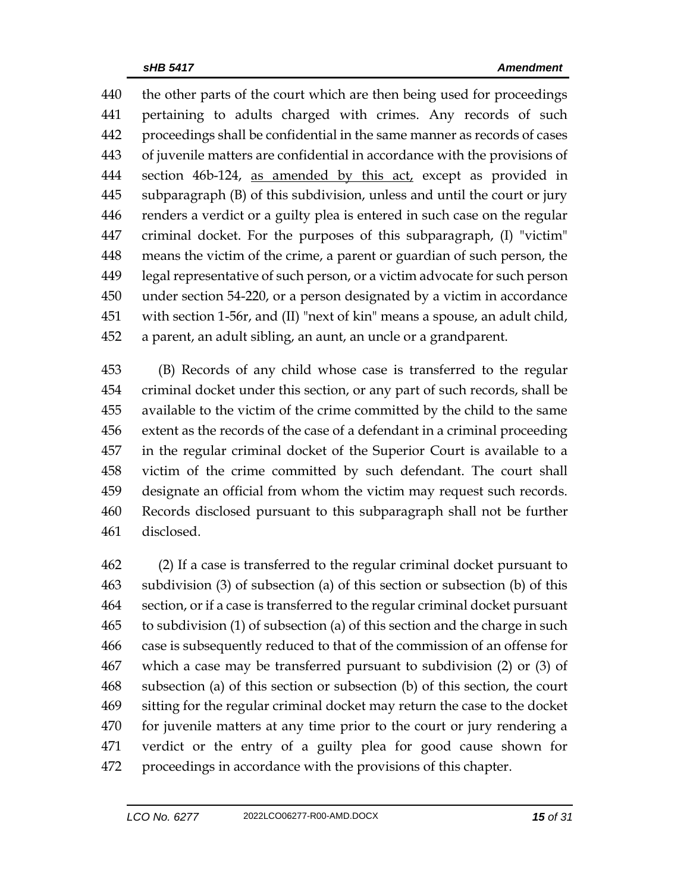the other parts of the court which are then being used for proceedings pertaining to adults charged with crimes. Any records of such proceedings shall be confidential in the same manner as records of cases of juvenile matters are confidential in accordance with the provisions of 444 section 46b-124, as amended by this act, except as provided in subparagraph (B) of this subdivision, unless and until the court or jury renders a verdict or a guilty plea is entered in such case on the regular criminal docket. For the purposes of this subparagraph, (I) "victim" means the victim of the crime, a parent or guardian of such person, the legal representative of such person, or a victim advocate for such person under section 54-220, or a person designated by a victim in accordance with section 1-56r, and (II) "next of kin" means a spouse, an adult child, a parent, an adult sibling, an aunt, an uncle or a grandparent.

 (B) Records of any child whose case is transferred to the regular criminal docket under this section, or any part of such records, shall be available to the victim of the crime committed by the child to the same extent as the records of the case of a defendant in a criminal proceeding in the regular criminal docket of the Superior Court is available to a victim of the crime committed by such defendant. The court shall designate an official from whom the victim may request such records. Records disclosed pursuant to this subparagraph shall not be further disclosed.

 (2) If a case is transferred to the regular criminal docket pursuant to subdivision (3) of subsection (a) of this section or subsection (b) of this section, or if a case is transferred to the regular criminal docket pursuant to subdivision (1) of subsection (a) of this section and the charge in such case is subsequently reduced to that of the commission of an offense for which a case may be transferred pursuant to subdivision (2) or (3) of subsection (a) of this section or subsection (b) of this section, the court sitting for the regular criminal docket may return the case to the docket for juvenile matters at any time prior to the court or jury rendering a verdict or the entry of a guilty plea for good cause shown for proceedings in accordance with the provisions of this chapter.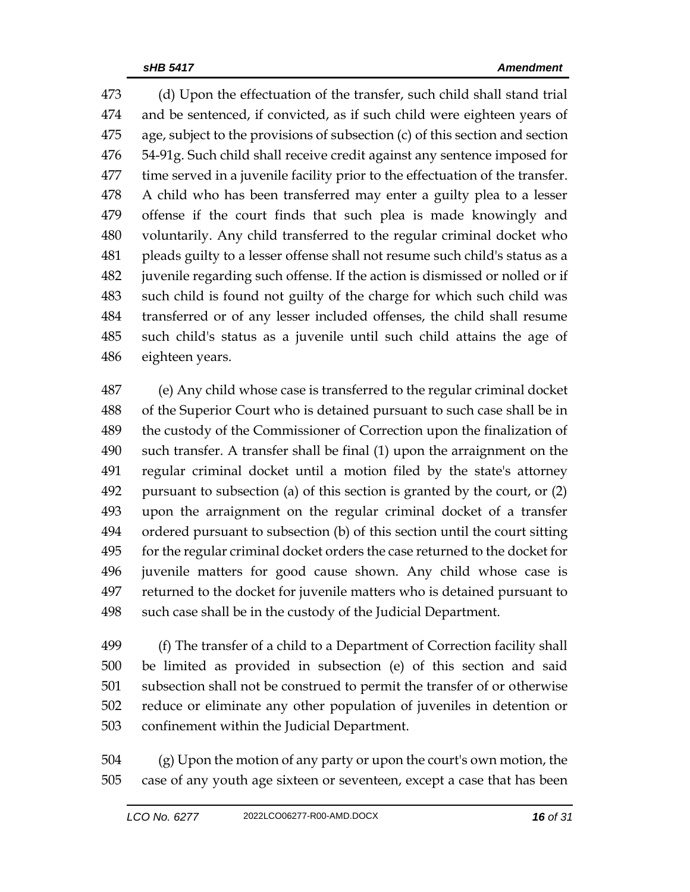(d) Upon the effectuation of the transfer, such child shall stand trial and be sentenced, if convicted, as if such child were eighteen years of age, subject to the provisions of subsection (c) of this section and section 54-91g. Such child shall receive credit against any sentence imposed for time served in a juvenile facility prior to the effectuation of the transfer. A child who has been transferred may enter a guilty plea to a lesser offense if the court finds that such plea is made knowingly and voluntarily. Any child transferred to the regular criminal docket who pleads guilty to a lesser offense shall not resume such child's status as a juvenile regarding such offense. If the action is dismissed or nolled or if such child is found not guilty of the charge for which such child was transferred or of any lesser included offenses, the child shall resume such child's status as a juvenile until such child attains the age of eighteen years.

 (e) Any child whose case is transferred to the regular criminal docket of the Superior Court who is detained pursuant to such case shall be in the custody of the Commissioner of Correction upon the finalization of such transfer. A transfer shall be final (1) upon the arraignment on the regular criminal docket until a motion filed by the state's attorney pursuant to subsection (a) of this section is granted by the court, or (2) upon the arraignment on the regular criminal docket of a transfer ordered pursuant to subsection (b) of this section until the court sitting for the regular criminal docket orders the case returned to the docket for juvenile matters for good cause shown. Any child whose case is returned to the docket for juvenile matters who is detained pursuant to such case shall be in the custody of the Judicial Department.

 (f) The transfer of a child to a Department of Correction facility shall be limited as provided in subsection (e) of this section and said subsection shall not be construed to permit the transfer of or otherwise reduce or eliminate any other population of juveniles in detention or confinement within the Judicial Department.

 (g) Upon the motion of any party or upon the court's own motion, the case of any youth age sixteen or seventeen, except a case that has been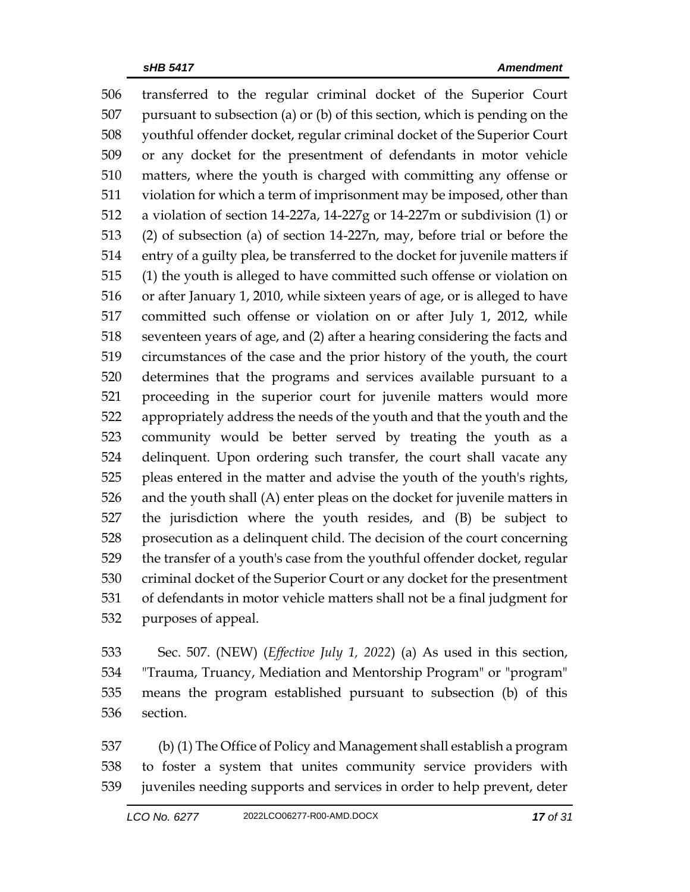transferred to the regular criminal docket of the Superior Court pursuant to subsection (a) or (b) of this section, which is pending on the youthful offender docket, regular criminal docket of the Superior Court or any docket for the presentment of defendants in motor vehicle matters, where the youth is charged with committing any offense or violation for which a term of imprisonment may be imposed, other than a violation of section 14-227a, 14-227g or 14-227m or subdivision (1) or (2) of subsection (a) of section 14-227n, may, before trial or before the entry of a guilty plea, be transferred to the docket for juvenile matters if (1) the youth is alleged to have committed such offense or violation on or after January 1, 2010, while sixteen years of age, or is alleged to have committed such offense or violation on or after July 1, 2012, while seventeen years of age, and (2) after a hearing considering the facts and circumstances of the case and the prior history of the youth, the court determines that the programs and services available pursuant to a proceeding in the superior court for juvenile matters would more appropriately address the needs of the youth and that the youth and the community would be better served by treating the youth as a delinquent. Upon ordering such transfer, the court shall vacate any pleas entered in the matter and advise the youth of the youth's rights, and the youth shall (A) enter pleas on the docket for juvenile matters in the jurisdiction where the youth resides, and (B) be subject to prosecution as a delinquent child. The decision of the court concerning the transfer of a youth's case from the youthful offender docket, regular criminal docket of the Superior Court or any docket for the presentment of defendants in motor vehicle matters shall not be a final judgment for purposes of appeal.

 Sec. 507. (NEW) (*Effective July 1, 2022*) (a) As used in this section, "Trauma, Truancy, Mediation and Mentorship Program" or "program" means the program established pursuant to subsection (b) of this section.

 (b) (1) The Office of Policy and Management shall establish a program to foster a system that unites community service providers with juveniles needing supports and services in order to help prevent, deter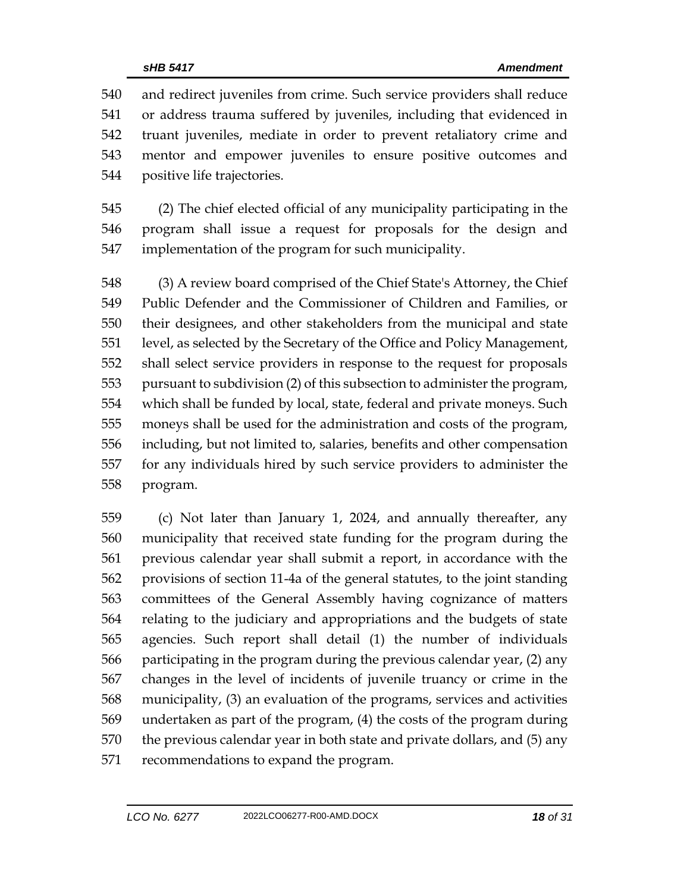and redirect juveniles from crime. Such service providers shall reduce or address trauma suffered by juveniles, including that evidenced in truant juveniles, mediate in order to prevent retaliatory crime and mentor and empower juveniles to ensure positive outcomes and positive life trajectories.

 (2) The chief elected official of any municipality participating in the program shall issue a request for proposals for the design and implementation of the program for such municipality.

 (3) A review board comprised of the Chief State's Attorney, the Chief Public Defender and the Commissioner of Children and Families, or their designees, and other stakeholders from the municipal and state level, as selected by the Secretary of the Office and Policy Management, shall select service providers in response to the request for proposals pursuant to subdivision (2) of this subsection to administer the program, which shall be funded by local, state, federal and private moneys. Such moneys shall be used for the administration and costs of the program, including, but not limited to, salaries, benefits and other compensation for any individuals hired by such service providers to administer the program.

 (c) Not later than January 1, 2024, and annually thereafter, any municipality that received state funding for the program during the previous calendar year shall submit a report, in accordance with the provisions of section 11-4a of the general statutes, to the joint standing committees of the General Assembly having cognizance of matters relating to the judiciary and appropriations and the budgets of state agencies. Such report shall detail (1) the number of individuals participating in the program during the previous calendar year, (2) any changes in the level of incidents of juvenile truancy or crime in the municipality, (3) an evaluation of the programs, services and activities undertaken as part of the program, (4) the costs of the program during the previous calendar year in both state and private dollars, and (5) any recommendations to expand the program.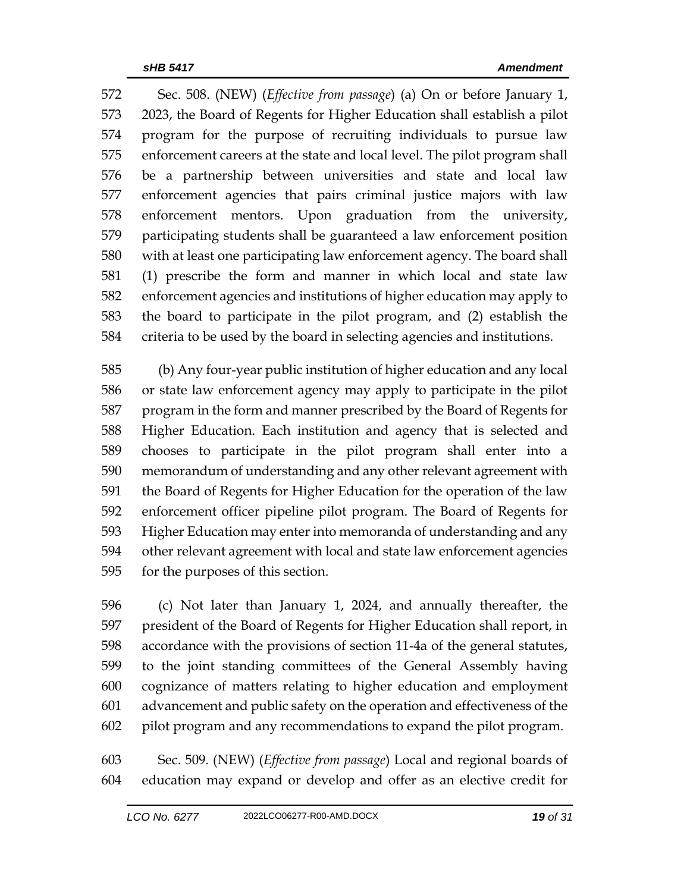Sec. 508. (NEW) (*Effective from passage*) (a) On or before January 1, 2023, the Board of Regents for Higher Education shall establish a pilot program for the purpose of recruiting individuals to pursue law enforcement careers at the state and local level. The pilot program shall be a partnership between universities and state and local law enforcement agencies that pairs criminal justice majors with law enforcement mentors. Upon graduation from the university, participating students shall be guaranteed a law enforcement position with at least one participating law enforcement agency. The board shall (1) prescribe the form and manner in which local and state law enforcement agencies and institutions of higher education may apply to the board to participate in the pilot program, and (2) establish the criteria to be used by the board in selecting agencies and institutions.

 (b) Any four-year public institution of higher education and any local or state law enforcement agency may apply to participate in the pilot program in the form and manner prescribed by the Board of Regents for Higher Education. Each institution and agency that is selected and chooses to participate in the pilot program shall enter into a memorandum of understanding and any other relevant agreement with the Board of Regents for Higher Education for the operation of the law enforcement officer pipeline pilot program. The Board of Regents for Higher Education may enter into memoranda of understanding and any other relevant agreement with local and state law enforcement agencies for the purposes of this section.

 (c) Not later than January 1, 2024, and annually thereafter, the president of the Board of Regents for Higher Education shall report, in accordance with the provisions of section 11-4a of the general statutes, to the joint standing committees of the General Assembly having cognizance of matters relating to higher education and employment advancement and public safety on the operation and effectiveness of the pilot program and any recommendations to expand the pilot program.

 Sec. 509. (NEW) (*Effective from passage*) Local and regional boards of education may expand or develop and offer as an elective credit for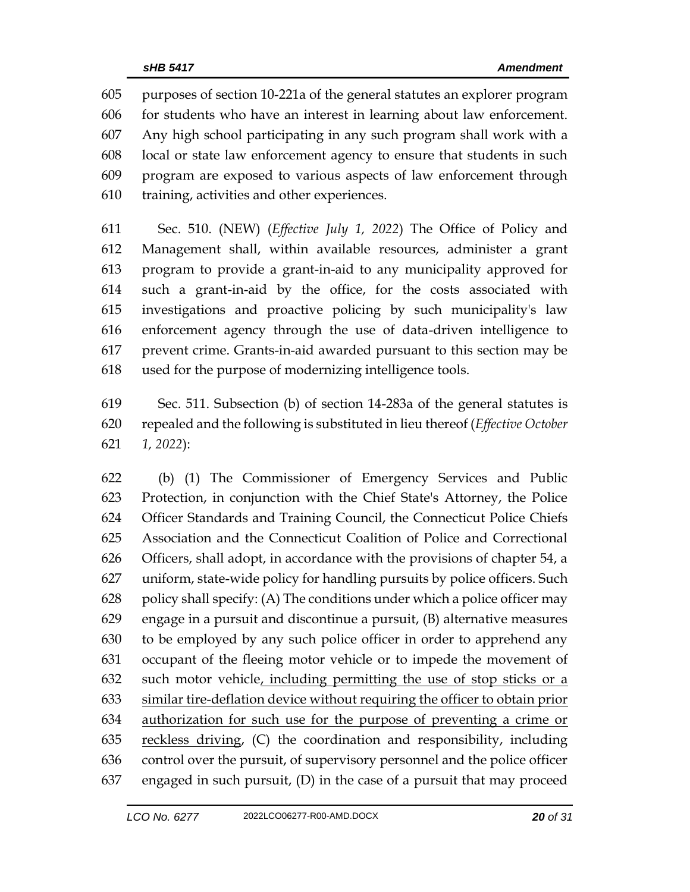purposes of section 10-221a of the general statutes an explorer program for students who have an interest in learning about law enforcement. Any high school participating in any such program shall work with a local or state law enforcement agency to ensure that students in such program are exposed to various aspects of law enforcement through training, activities and other experiences.

 Sec. 510. (NEW) (*Effective July 1, 2022*) The Office of Policy and Management shall, within available resources, administer a grant program to provide a grant-in-aid to any municipality approved for such a grant-in-aid by the office, for the costs associated with investigations and proactive policing by such municipality's law enforcement agency through the use of data-driven intelligence to prevent crime. Grants-in-aid awarded pursuant to this section may be used for the purpose of modernizing intelligence tools.

 Sec. 511. Subsection (b) of section 14-283a of the general statutes is repealed and the following is substituted in lieu thereof (*Effective October 1, 2022*):

 (b) (1) The Commissioner of Emergency Services and Public Protection, in conjunction with the Chief State's Attorney, the Police Officer Standards and Training Council, the Connecticut Police Chiefs Association and the Connecticut Coalition of Police and Correctional Officers, shall adopt, in accordance with the provisions of chapter 54, a uniform, state-wide policy for handling pursuits by police officers. Such 628 policy shall specify: (A) The conditions under which a police officer may engage in a pursuit and discontinue a pursuit, (B) alternative measures to be employed by any such police officer in order to apprehend any occupant of the fleeing motor vehicle or to impede the movement of such motor vehicle, including permitting the use of stop sticks or a similar tire-deflation device without requiring the officer to obtain prior authorization for such use for the purpose of preventing a crime or 635 reckless driving, (C) the coordination and responsibility, including control over the pursuit, of supervisory personnel and the police officer engaged in such pursuit, (D) in the case of a pursuit that may proceed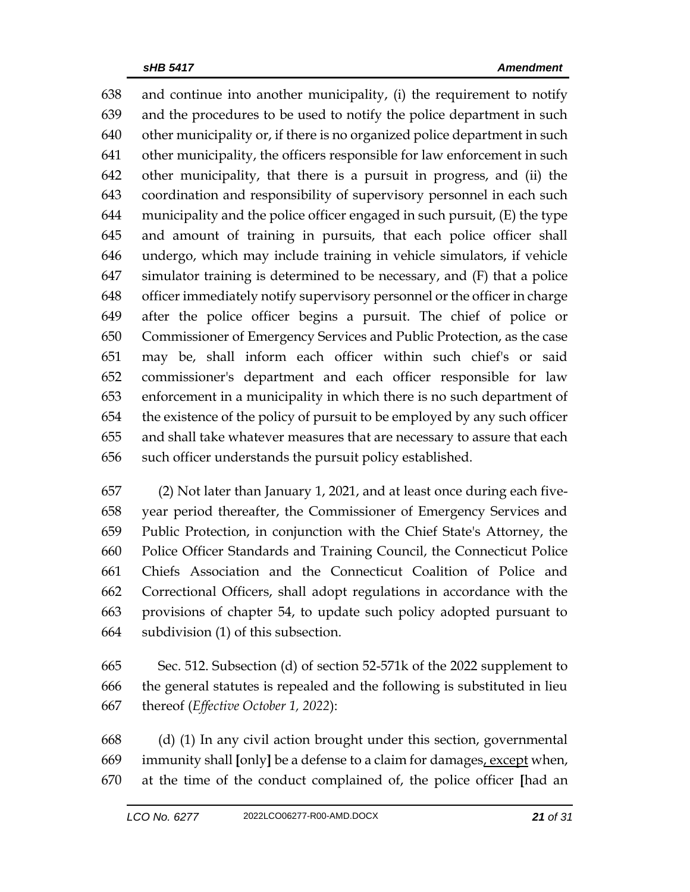and continue into another municipality, (i) the requirement to notify and the procedures to be used to notify the police department in such other municipality or, if there is no organized police department in such other municipality, the officers responsible for law enforcement in such other municipality, that there is a pursuit in progress, and (ii) the coordination and responsibility of supervisory personnel in each such 644 municipality and the police officer engaged in such pursuit,  $(E)$  the type and amount of training in pursuits, that each police officer shall undergo, which may include training in vehicle simulators, if vehicle simulator training is determined to be necessary, and (F) that a police officer immediately notify supervisory personnel or the officer in charge after the police officer begins a pursuit. The chief of police or Commissioner of Emergency Services and Public Protection, as the case may be, shall inform each officer within such chief's or said commissioner's department and each officer responsible for law enforcement in a municipality in which there is no such department of the existence of the policy of pursuit to be employed by any such officer and shall take whatever measures that are necessary to assure that each such officer understands the pursuit policy established.

 (2) Not later than January 1, 2021, and at least once during each five- year period thereafter, the Commissioner of Emergency Services and Public Protection, in conjunction with the Chief State's Attorney, the Police Officer Standards and Training Council, the Connecticut Police Chiefs Association and the Connecticut Coalition of Police and Correctional Officers, shall adopt regulations in accordance with the provisions of chapter 54, to update such policy adopted pursuant to subdivision (1) of this subsection.

 Sec. 512. Subsection (d) of section 52-571k of the 2022 supplement to the general statutes is repealed and the following is substituted in lieu thereof (*Effective October 1, 2022*):

 (d) (1) In any civil action brought under this section, governmental immunity shall **[**only**]** be a defense to a claim for damages, except when, at the time of the conduct complained of, the police officer **[**had an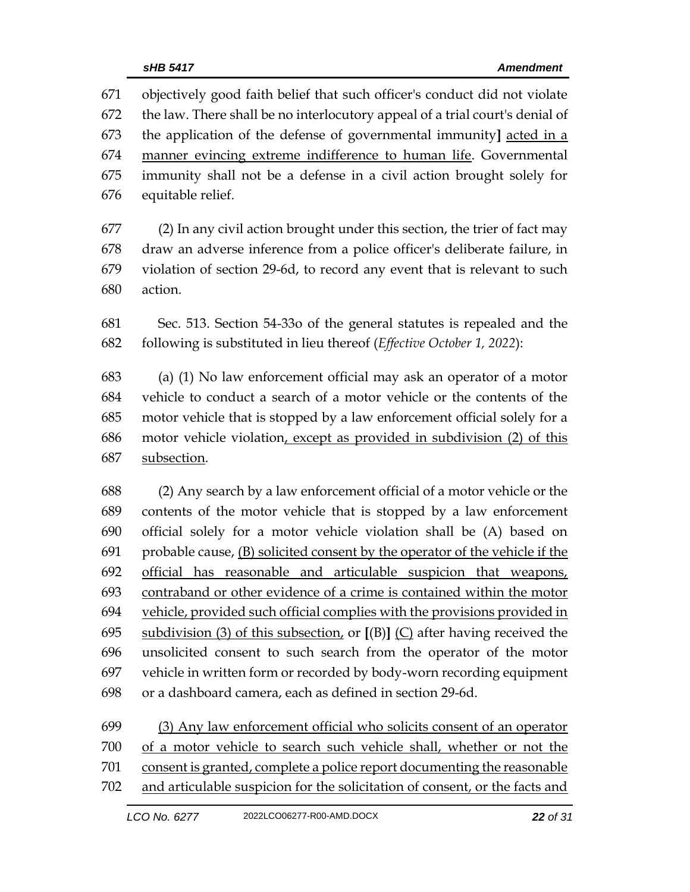objectively good faith belief that such officer's conduct did not violate the law. There shall be no interlocutory appeal of a trial court's denial of the application of the defense of governmental immunity**]** acted in a manner evincing extreme indifference to human life. Governmental immunity shall not be a defense in a civil action brought solely for equitable relief.

 (2) In any civil action brought under this section, the trier of fact may draw an adverse inference from a police officer's deliberate failure, in violation of section 29-6d, to record any event that is relevant to such action.

 Sec. 513. Section 54-33o of the general statutes is repealed and the following is substituted in lieu thereof (*Effective October 1, 2022*):

 (a) (1) No law enforcement official may ask an operator of a motor vehicle to conduct a search of a motor vehicle or the contents of the motor vehicle that is stopped by a law enforcement official solely for a motor vehicle violation, except as provided in subdivision (2) of this subsection.

 (2) Any search by a law enforcement official of a motor vehicle or the contents of the motor vehicle that is stopped by a law enforcement official solely for a motor vehicle violation shall be (A) based on probable cause, (B) solicited consent by the operator of the vehicle if the official has reasonable and articulable suspicion that weapons, contraband or other evidence of a crime is contained within the motor vehicle, provided such official complies with the provisions provided in subdivision (3) of this subsection, or **[**(B)**]** (C) after having received the unsolicited consent to such search from the operator of the motor vehicle in written form or recorded by body-worn recording equipment or a dashboard camera, each as defined in section 29-6d.

 (3) Any law enforcement official who solicits consent of an operator of a motor vehicle to search such vehicle shall, whether or not the consent is granted, complete a police report documenting the reasonable and articulable suspicion for the solicitation of consent, or the facts and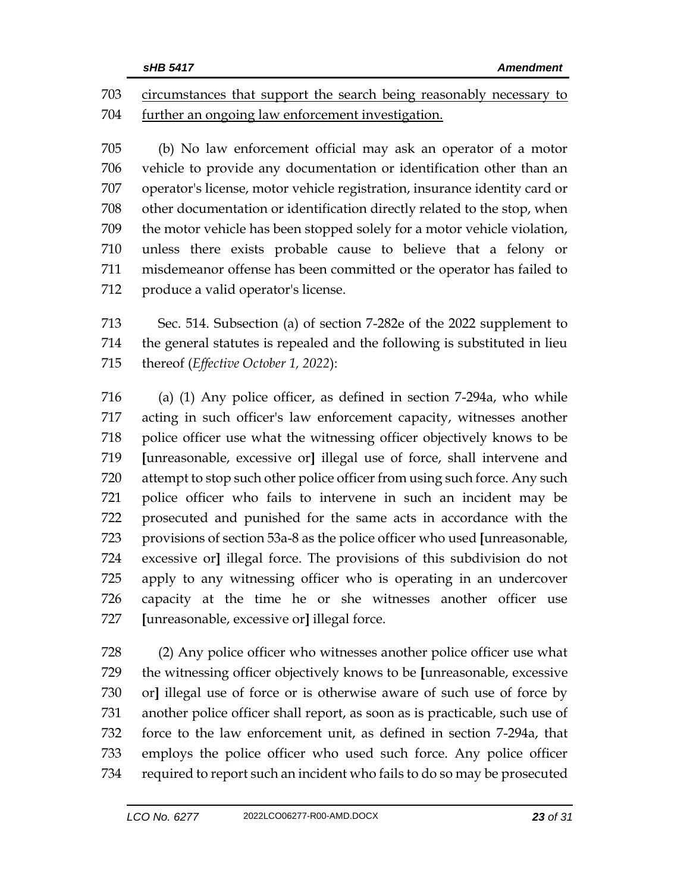circumstances that support the search being reasonably necessary to further an ongoing law enforcement investigation.

 (b) No law enforcement official may ask an operator of a motor vehicle to provide any documentation or identification other than an operator's license, motor vehicle registration, insurance identity card or other documentation or identification directly related to the stop, when the motor vehicle has been stopped solely for a motor vehicle violation, unless there exists probable cause to believe that a felony or misdemeanor offense has been committed or the operator has failed to produce a valid operator's license.

 Sec. 514. Subsection (a) of section 7-282e of the 2022 supplement to the general statutes is repealed and the following is substituted in lieu thereof (*Effective October 1, 2022*):

 (a) (1) Any police officer, as defined in section 7-294a, who while acting in such officer's law enforcement capacity, witnesses another police officer use what the witnessing officer objectively knows to be **[**unreasonable, excessive or**]** illegal use of force, shall intervene and attempt to stop such other police officer from using such force. Any such police officer who fails to intervene in such an incident may be prosecuted and punished for the same acts in accordance with the provisions of section 53a-8 as the police officer who used **[**unreasonable, excessive or**]** illegal force. The provisions of this subdivision do not apply to any witnessing officer who is operating in an undercover capacity at the time he or she witnesses another officer use **[**unreasonable, excessive or**]** illegal force.

 (2) Any police officer who witnesses another police officer use what the witnessing officer objectively knows to be **[**unreasonable, excessive or**]** illegal use of force or is otherwise aware of such use of force by another police officer shall report, as soon as is practicable, such use of force to the law enforcement unit, as defined in section 7-294a, that employs the police officer who used such force. Any police officer required to report such an incident who fails to do so may be prosecuted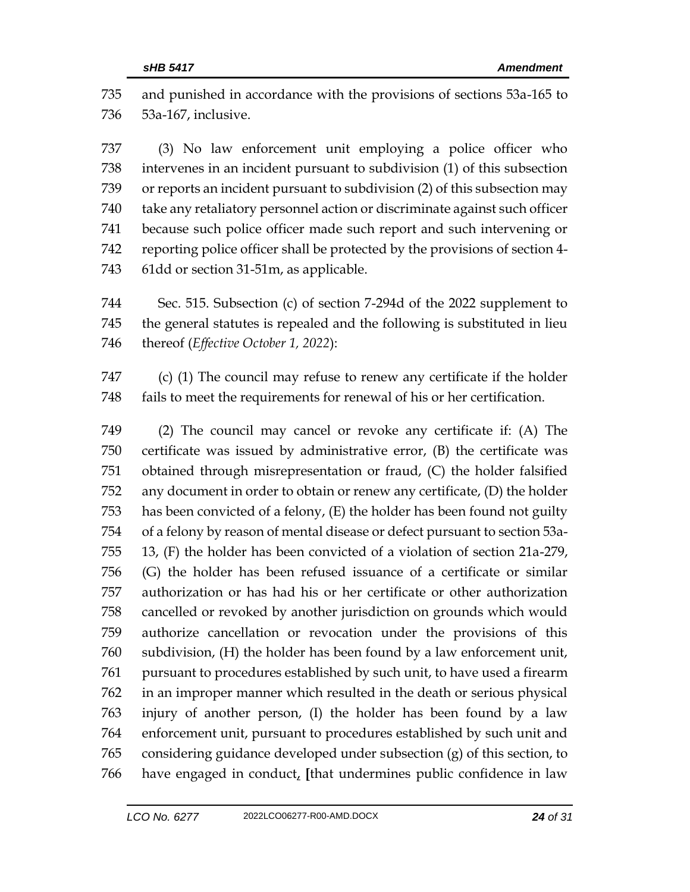and punished in accordance with the provisions of sections 53a-165 to 53a-167, inclusive.

 (3) No law enforcement unit employing a police officer who intervenes in an incident pursuant to subdivision (1) of this subsection or reports an incident pursuant to subdivision (2) of this subsection may take any retaliatory personnel action or discriminate against such officer because such police officer made such report and such intervening or reporting police officer shall be protected by the provisions of section 4- 61dd or section 31-51m, as applicable.

 Sec. 515. Subsection (c) of section 7-294d of the 2022 supplement to the general statutes is repealed and the following is substituted in lieu thereof (*Effective October 1, 2022*):

 (c) (1) The council may refuse to renew any certificate if the holder fails to meet the requirements for renewal of his or her certification.

 (2) The council may cancel or revoke any certificate if: (A) The certificate was issued by administrative error, (B) the certificate was obtained through misrepresentation or fraud, (C) the holder falsified any document in order to obtain or renew any certificate, (D) the holder has been convicted of a felony, (E) the holder has been found not guilty of a felony by reason of mental disease or defect pursuant to section 53a- 13, (F) the holder has been convicted of a violation of section 21a-279, (G) the holder has been refused issuance of a certificate or similar authorization or has had his or her certificate or other authorization cancelled or revoked by another jurisdiction on grounds which would authorize cancellation or revocation under the provisions of this subdivision, (H) the holder has been found by a law enforcement unit, pursuant to procedures established by such unit, to have used a firearm in an improper manner which resulted in the death or serious physical injury of another person, (I) the holder has been found by a law enforcement unit, pursuant to procedures established by such unit and considering guidance developed under subsection (g) of this section, to have engaged in conduct, **[**that undermines public confidence in law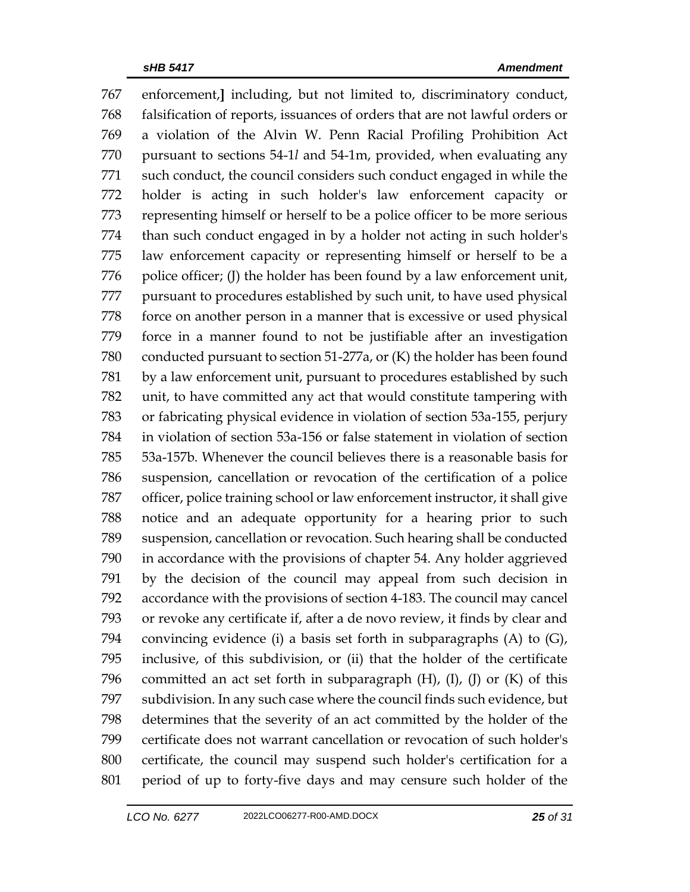enforcement,**]** including, but not limited to, discriminatory conduct, falsification of reports, issuances of orders that are not lawful orders or a violation of the Alvin W. Penn Racial Profiling Prohibition Act pursuant to sections 54-1*l* and 54-1m, provided, when evaluating any such conduct, the council considers such conduct engaged in while the holder is acting in such holder's law enforcement capacity or representing himself or herself to be a police officer to be more serious than such conduct engaged in by a holder not acting in such holder's law enforcement capacity or representing himself or herself to be a 776 police officer; (I) the holder has been found by a law enforcement unit, pursuant to procedures established by such unit, to have used physical force on another person in a manner that is excessive or used physical force in a manner found to not be justifiable after an investigation conducted pursuant to section 51-277a, or (K) the holder has been found by a law enforcement unit, pursuant to procedures established by such unit, to have committed any act that would constitute tampering with or fabricating physical evidence in violation of section 53a-155, perjury in violation of section 53a-156 or false statement in violation of section 53a-157b. Whenever the council believes there is a reasonable basis for suspension, cancellation or revocation of the certification of a police officer, police training school or law enforcement instructor, it shall give notice and an adequate opportunity for a hearing prior to such suspension, cancellation or revocation. Such hearing shall be conducted in accordance with the provisions of chapter 54. Any holder aggrieved by the decision of the council may appeal from such decision in accordance with the provisions of section 4-183. The council may cancel or revoke any certificate if, after a de novo review, it finds by clear and convincing evidence (i) a basis set forth in subparagraphs (A) to (G), inclusive, of this subdivision, or (ii) that the holder of the certificate 796 committed an act set forth in subparagraph  $(H)$ ,  $(I)$ ,  $(J)$  or  $(K)$  of this subdivision. In any such case where the council finds such evidence, but determines that the severity of an act committed by the holder of the certificate does not warrant cancellation or revocation of such holder's certificate, the council may suspend such holder's certification for a period of up to forty-five days and may censure such holder of the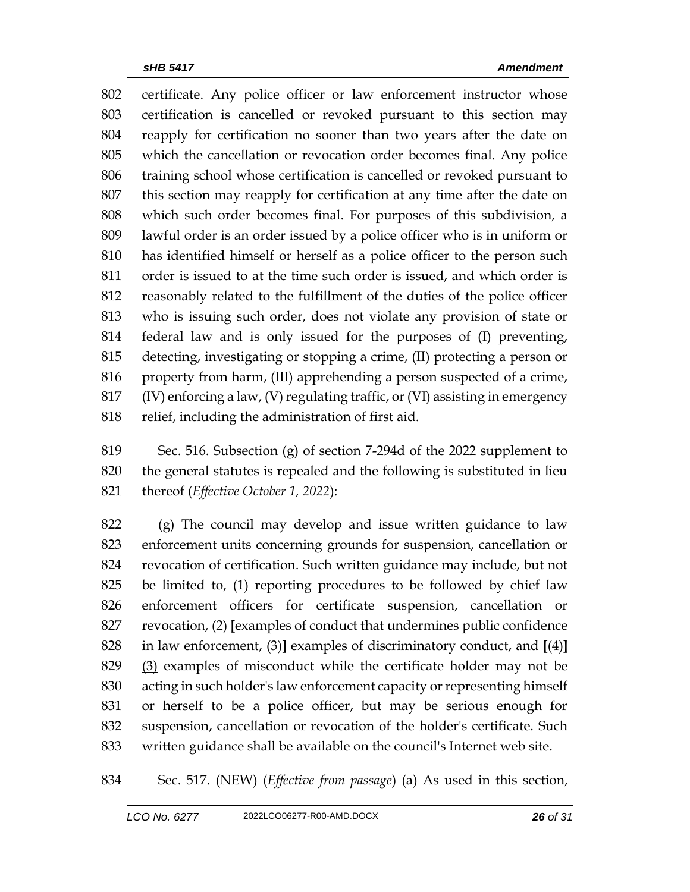certificate. Any police officer or law enforcement instructor whose certification is cancelled or revoked pursuant to this section may reapply for certification no sooner than two years after the date on which the cancellation or revocation order becomes final. Any police training school whose certification is cancelled or revoked pursuant to this section may reapply for certification at any time after the date on which such order becomes final. For purposes of this subdivision, a lawful order is an order issued by a police officer who is in uniform or has identified himself or herself as a police officer to the person such order is issued to at the time such order is issued, and which order is reasonably related to the fulfillment of the duties of the police officer who is issuing such order, does not violate any provision of state or federal law and is only issued for the purposes of (I) preventing, detecting, investigating or stopping a crime, (II) protecting a person or property from harm, (III) apprehending a person suspected of a crime, (IV) enforcing a law, (V) regulating traffic, or (VI) assisting in emergency relief, including the administration of first aid.

 Sec. 516. Subsection (g) of section 7-294d of the 2022 supplement to the general statutes is repealed and the following is substituted in lieu thereof (*Effective October 1, 2022*):

 (g) The council may develop and issue written guidance to law enforcement units concerning grounds for suspension, cancellation or revocation of certification. Such written guidance may include, but not be limited to, (1) reporting procedures to be followed by chief law enforcement officers for certificate suspension, cancellation or revocation, (2) **[**examples of conduct that undermines public confidence in law enforcement, (3)**]** examples of discriminatory conduct, and **[**(4)**]** (3) examples of misconduct while the certificate holder may not be acting in such holder's law enforcement capacity or representing himself or herself to be a police officer, but may be serious enough for suspension, cancellation or revocation of the holder's certificate. Such written guidance shall be available on the council's Internet web site.

Sec. 517. (NEW) (*Effective from passage*) (a) As used in this section,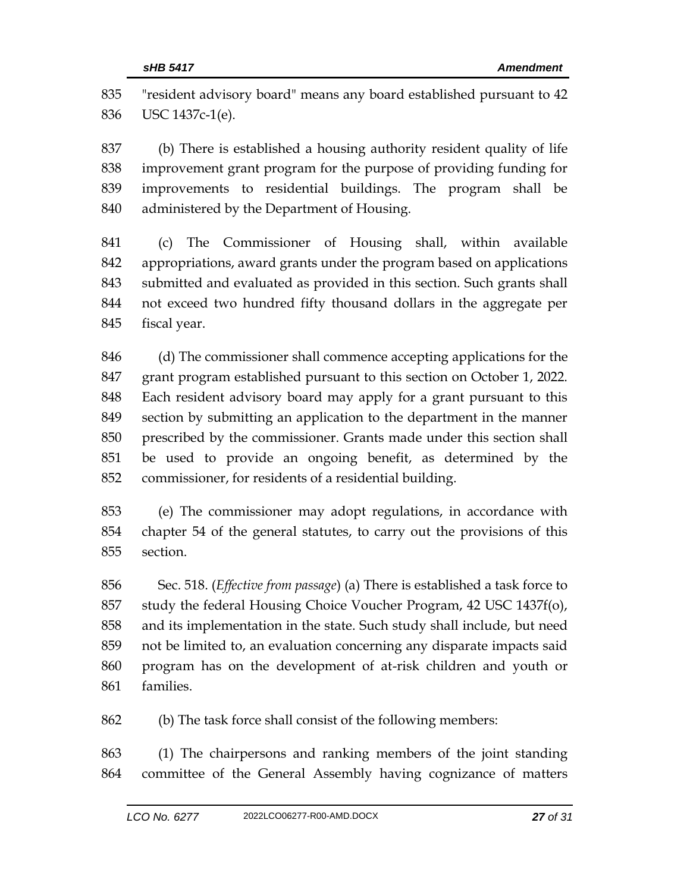"resident advisory board" means any board established pursuant to 42 USC 1437c-1(e).

 (b) There is established a housing authority resident quality of life improvement grant program for the purpose of providing funding for improvements to residential buildings. The program shall be administered by the Department of Housing.

 (c) The Commissioner of Housing shall, within available appropriations, award grants under the program based on applications submitted and evaluated as provided in this section. Such grants shall not exceed two hundred fifty thousand dollars in the aggregate per fiscal year.

 (d) The commissioner shall commence accepting applications for the grant program established pursuant to this section on October 1, 2022. Each resident advisory board may apply for a grant pursuant to this section by submitting an application to the department in the manner prescribed by the commissioner. Grants made under this section shall be used to provide an ongoing benefit, as determined by the commissioner, for residents of a residential building.

 (e) The commissioner may adopt regulations, in accordance with chapter 54 of the general statutes, to carry out the provisions of this section.

 Sec. 518. (*Effective from passage*) (a) There is established a task force to study the federal Housing Choice Voucher Program, 42 USC 1437f(o), and its implementation in the state. Such study shall include, but need not be limited to, an evaluation concerning any disparate impacts said program has on the development of at-risk children and youth or families.

(b) The task force shall consist of the following members:

 (1) The chairpersons and ranking members of the joint standing committee of the General Assembly having cognizance of matters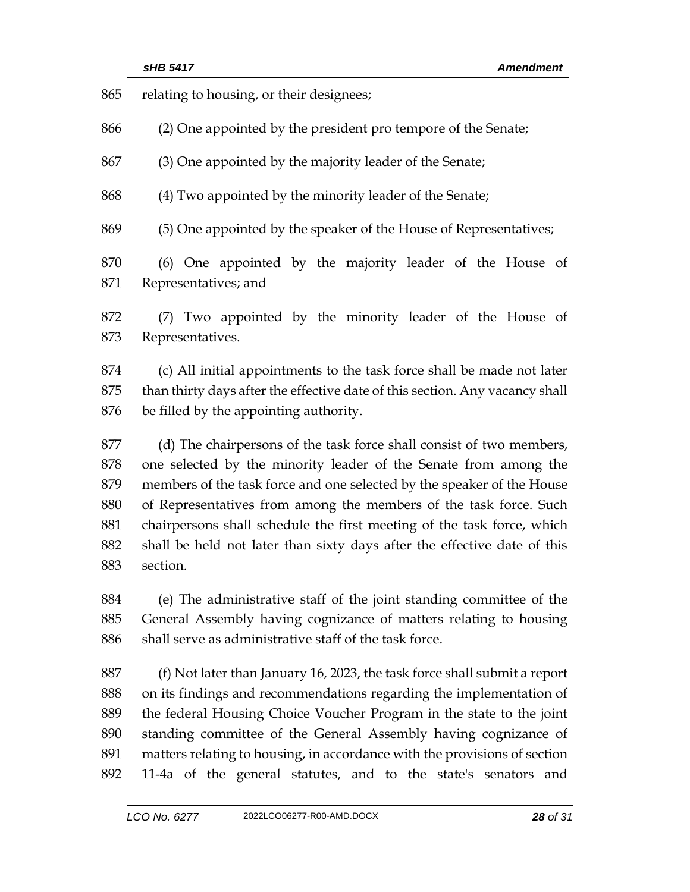| 865 | relating to housing, or their designees;                                     |  |  |
|-----|------------------------------------------------------------------------------|--|--|
| 866 | (2) One appointed by the president pro tempore of the Senate;                |  |  |
| 867 | (3) One appointed by the majority leader of the Senate;                      |  |  |
| 868 | (4) Two appointed by the minority leader of the Senate;                      |  |  |
| 869 | (5) One appointed by the speaker of the House of Representatives;            |  |  |
| 870 | (6) One appointed by the majority leader of the House of                     |  |  |
| 871 | Representatives; and                                                         |  |  |
| 872 | (7) Two appointed by the minority leader of the House of                     |  |  |
| 873 | Representatives.                                                             |  |  |
| 874 | (c) All initial appointments to the task force shall be made not later       |  |  |
| 875 | than thirty days after the effective date of this section. Any vacancy shall |  |  |
| 876 | be filled by the appointing authority.                                       |  |  |
| 877 | (d) The chairpersons of the task force shall consist of two members,         |  |  |
| 878 | one selected by the minority leader of the Senate from among the             |  |  |
| 879 | members of the task force and one selected by the speaker of the House       |  |  |
| 880 | of Representatives from among the members of the task force. Such            |  |  |
| 881 | chairpersons shall schedule the first meeting of the task force, which       |  |  |
| 882 | shall be held not later than sixty days after the effective date of this     |  |  |
| 883 | section.                                                                     |  |  |
| 884 | (e) The administrative staff of the joint standing committee of the          |  |  |
| 885 | General Assembly having cognizance of matters relating to housing            |  |  |
| 886 | shall serve as administrative staff of the task force.                       |  |  |
| 887 | (f) Not later than January 16, 2023, the task force shall submit a report    |  |  |
| 888 | on its findings and recommendations regarding the implementation of          |  |  |
| 889 | the federal Housing Choice Voucher Program in the state to the joint         |  |  |

 matters relating to housing, in accordance with the provisions of section 11-4a of the general statutes, and to the state's senators and

standing committee of the General Assembly having cognizance of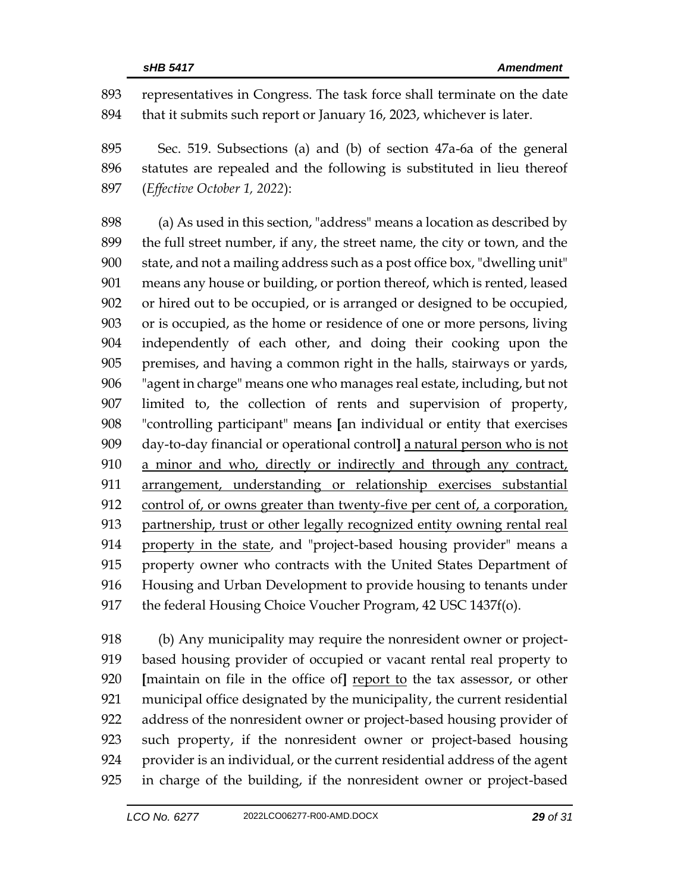representatives in Congress. The task force shall terminate on the date that it submits such report or January 16, 2023, whichever is later.

 Sec. 519. Subsections (a) and (b) of section 47a-6a of the general statutes are repealed and the following is substituted in lieu thereof (*Effective October 1, 2022*):

 (a) As used in this section, "address" means a location as described by the full street number, if any, the street name, the city or town, and the state, and not a mailing address such as a post office box, "dwelling unit" means any house or building, or portion thereof, which is rented, leased or hired out to be occupied, or is arranged or designed to be occupied, or is occupied, as the home or residence of one or more persons, living independently of each other, and doing their cooking upon the premises, and having a common right in the halls, stairways or yards, "agent in charge" means one who manages real estate, including, but not limited to, the collection of rents and supervision of property, "controlling participant" means **[**an individual or entity that exercises day-to-day financial or operational control**]** a natural person who is not a minor and who, directly or indirectly and through any contract, arrangement, understanding or relationship exercises substantial control of, or owns greater than twenty-five per cent of, a corporation, partnership, trust or other legally recognized entity owning rental real property in the state, and "project-based housing provider" means a property owner who contracts with the United States Department of Housing and Urban Development to provide housing to tenants under 917 the federal Housing Choice Voucher Program, 42 USC 1437f(o).

 (b) Any municipality may require the nonresident owner or project- based housing provider of occupied or vacant rental real property to **[**maintain on file in the office of**]** report to the tax assessor, or other municipal office designated by the municipality, the current residential address of the nonresident owner or project-based housing provider of such property, if the nonresident owner or project-based housing provider is an individual, or the current residential address of the agent in charge of the building, if the nonresident owner or project-based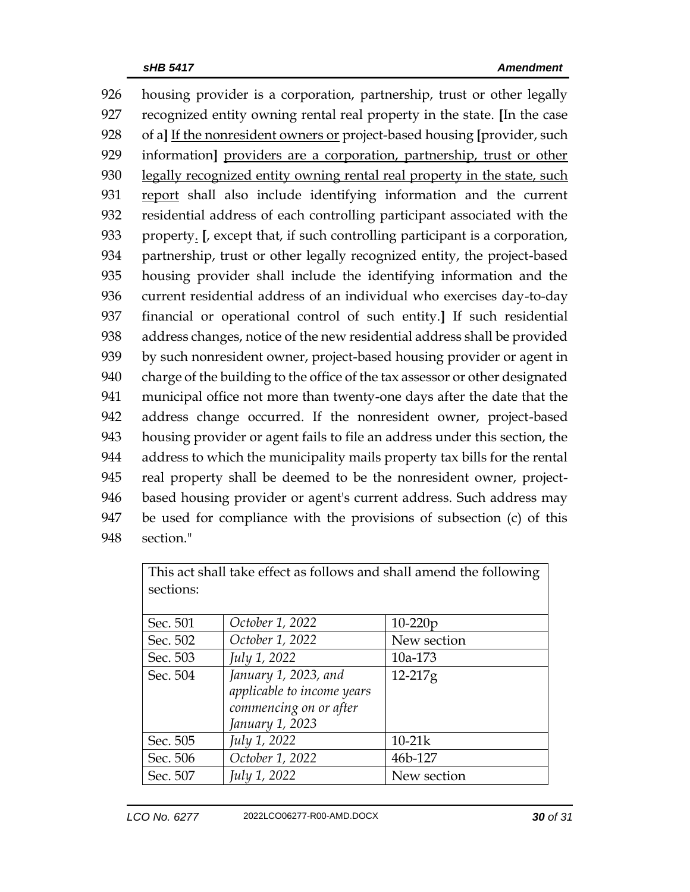housing provider is a corporation, partnership, trust or other legally recognized entity owning rental real property in the state. **[**In the case of a**]** If the nonresident owners or project-based housing **[**provider, such information**]** providers are a corporation, partnership, trust or other 930 legally recognized entity owning rental real property in the state, such report shall also include identifying information and the current residential address of each controlling participant associated with the property. **[**, except that, if such controlling participant is a corporation, partnership, trust or other legally recognized entity, the project-based housing provider shall include the identifying information and the current residential address of an individual who exercises day-to-day financial or operational control of such entity.**]** If such residential address changes, notice of the new residential address shall be provided by such nonresident owner, project-based housing provider or agent in charge of the building to the office of the tax assessor or other designated municipal office not more than twenty-one days after the date that the address change occurred. If the nonresident owner, project-based housing provider or agent fails to file an address under this section, the address to which the municipality mails property tax bills for the rental real property shall be deemed to be the nonresident owner, project- based housing provider or agent's current address. Such address may be used for compliance with the provisions of subsection (c) of this section."

| This act shall take effect as follows and shall amend the following |                            |             |  |  |  |
|---------------------------------------------------------------------|----------------------------|-------------|--|--|--|
| sections:                                                           |                            |             |  |  |  |
|                                                                     |                            |             |  |  |  |
| Sec. 501                                                            | October 1, 2022            | $10-220p$   |  |  |  |
| Sec. 502                                                            | October 1, 2022            | New section |  |  |  |
| Sec. 503                                                            | July 1, 2022               | 10a-173     |  |  |  |
| Sec. 504                                                            | January 1, 2023, and       | 12-217g     |  |  |  |
|                                                                     | applicable to income years |             |  |  |  |
|                                                                     | commencing on or after     |             |  |  |  |
|                                                                     | January 1, 2023            |             |  |  |  |
| Sec. 505                                                            | July 1, 2022               | $10-21k$    |  |  |  |
| Sec. 506                                                            | October 1, 2022            | 46b-127     |  |  |  |
| Sec. 507                                                            | July 1, 2022               | New section |  |  |  |